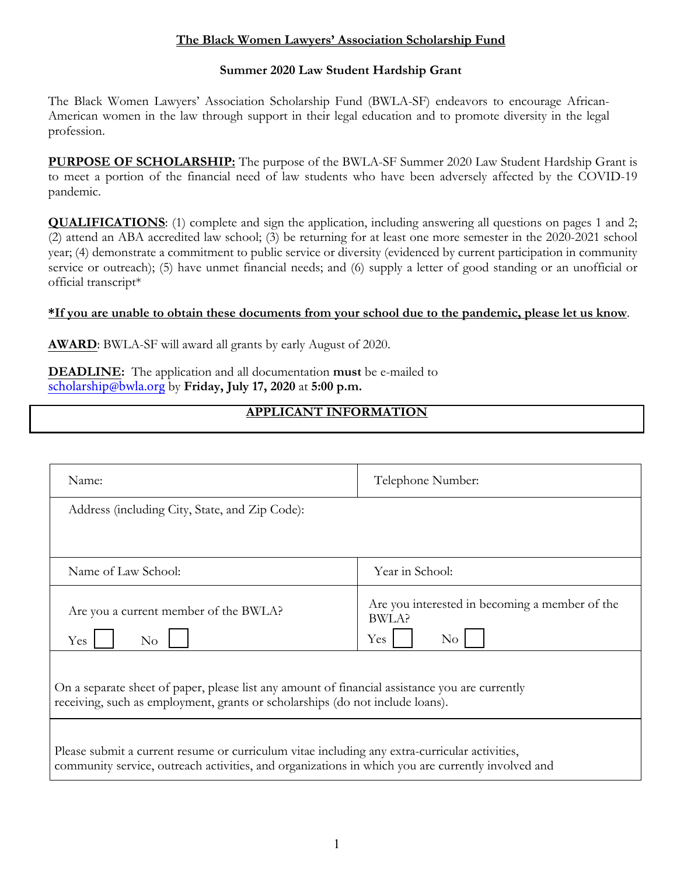### **The Black Women Lawyers' Association Scholarship Fund**

#### **Summer 2020 Law Student Hardship Grant**

The Black Women Lawyers' Association Scholarship Fund (BWLA-SF) endeavors to encourage African-American women in the law through support in their legal education and to promote diversity in the legal profession.

**PURPOSE OF SCHOLARSHIP:** The purpose of the BWLA-SF Summer 2020 Law Student Hardship Grant is to meet a portion of the financial need of law students who have been adversely affected by the COVID-19 pandemic.

**QUALIFICATIONS**: (1) complete and sign the application, including answering all questions on pages 1 and 2; (2) attend an ABA accredited law school; (3) be returning for at least one more semester in the 2020-2021 school year; (4) demonstrate a commitment to public service or diversity (evidenced by current participation in community service or outreach); (5) have unmet financial needs; and (6) supply a letter of good standing or an unofficial or official transcript\*

#### **\*If you are unable to obtain these documents from your school due to the pandemic, please let us know**.

**AWARD**: BWLA-SF will award all grants by early August of 2020.

**DEADLINE:** The application and all documentation **must** be e-mailed to scholarship@bwla.org by **Friday, July 17, 2020** at **5:00 p.m.**

## **APPLICANT INFORMATION**

| Name:                                                                                                                                                                                              | Telephone Number:                                                                |
|----------------------------------------------------------------------------------------------------------------------------------------------------------------------------------------------------|----------------------------------------------------------------------------------|
| Address (including City, State, and Zip Code):                                                                                                                                                     |                                                                                  |
| Name of Law School:                                                                                                                                                                                | Year in School:                                                                  |
|                                                                                                                                                                                                    |                                                                                  |
| Are you a current member of the BWLA?<br>No<br>Yes                                                                                                                                                 | Are you interested in becoming a member of the<br>BWLA?<br>Yes<br>N <sub>0</sub> |
| On a separate sheet of paper, please list any amount of financial assistance you are currently<br>receiving, such as employment, grants or scholarships (do not include loans).                    |                                                                                  |
| Please submit a current resume or curriculum vitae including any extra-curricular activities,<br>community service, outreach activities, and organizations in which you are currently involved and |                                                                                  |